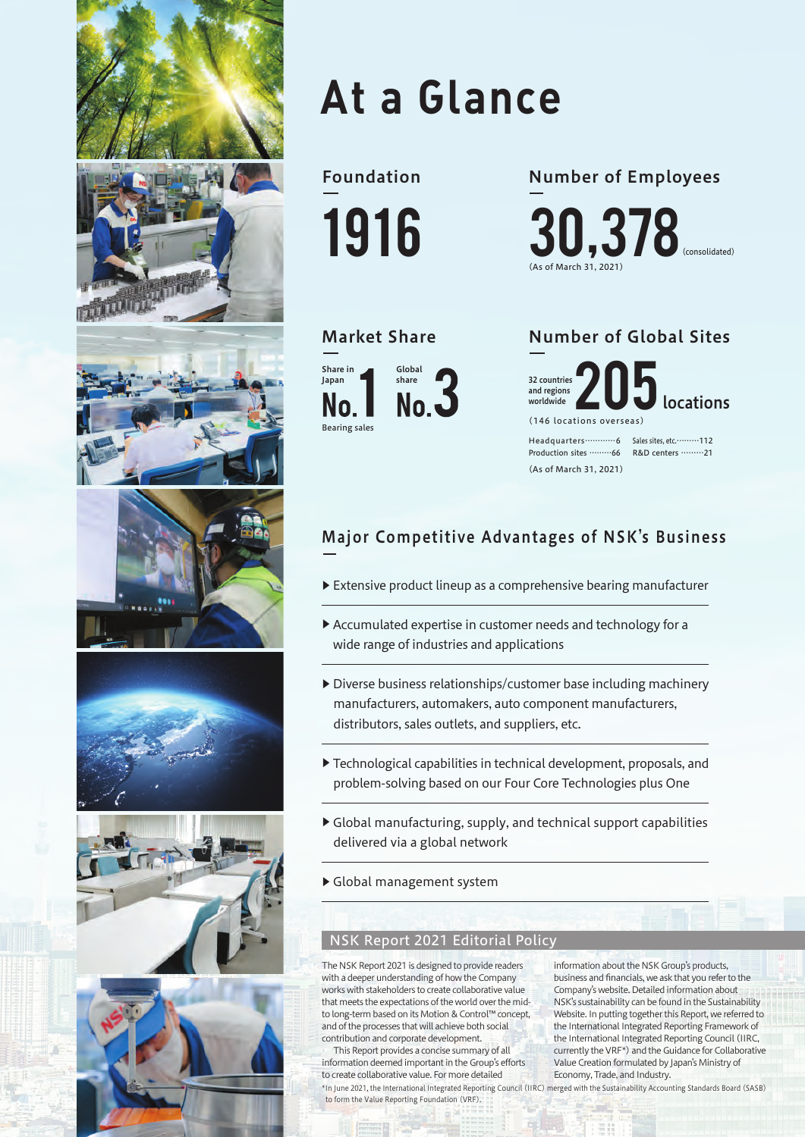

# **At a Glance**

Foundation 1916 (As of March 31, 2021) 30,378(consolidated) Number of Employees



### Market Share Number of Global Sites

(146 locations overseas) locations 32 countries and regions worldwide

Headquarters…………6 Production sites ………66 R&D centers ………21 Sales sites, etc.………112 (As of March 31, 2021)

## Major Competitive Advantages of NSK's Business

- ▶ Extensive product lineup as a comprehensive bearing manufacturer
- ▶ Accumulated expertise in customer needs and technology for a wide range of industries and applications
- ▶ Diverse business relationships/customer base including machinery manufacturers, automakers, auto component manufacturers, distributors, sales outlets, and suppliers, etc.
- ▶ Technological capabilities in technical development, proposals, and problem-solving based on our Four Core Technologies plus One
- ▶ Global manufacturing, supply, and technical support capabilities delivered via a global network
- ▶ Global management system

#### NSK Report 2021 Editorial Policy

The NSK Report 2021 is designed to provide readers with a deeper understanding of how the Company works with stakeholders to create collaborative value that meets the expectations of the world over the midto long-term based on its Motion & Control™ concept, and of the processes that will achieve both social contribution and corporate development.

This Report provides a concise summary of all information deemed important in the Group's efforts to create collaborative value. For more detailed to form the Value Reporting Foundation (VRF).

information about the NSK Group's products, business and financials, we ask that you refer to the Company's website. Detailed information about NSK's sustainability can be found in the Sustainability Website. In putting together this Report, we referred to the International Integrated Reporting Framework of the International Integrated Reporting Council (IIRC, currently the VRF\*) and the Guidance for Collaborative Value Creation formulated by Japan's Ministry of Economy, Trade, and Industry.

\*In June 2021, the International Integrated Reporting Council (IIRC) merged with the Sustainability Accounting Standards Board (SASB)